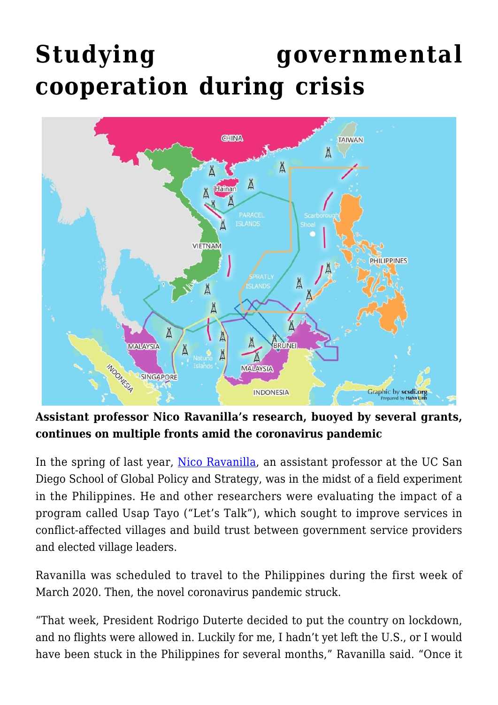## **[Studying governmental](https://gpsnews.ucsd.edu/studying-governmental-cooperation-during-crisis/) [cooperation during crisis](https://gpsnews.ucsd.edu/studying-governmental-cooperation-during-crisis/)**



**Assistant professor Nico Ravanilla's research, buoyed by several grants, continues on multiple fronts amid the coronavirus pandemic**

In the spring of last year, [Nico Ravanilla](https://gps.ucsd.edu/faculty-directory/nico-ravanilla.html), an assistant professor at the UC San Diego School of Global Policy and Strategy, was in the midst of a field experiment in the Philippines. He and other researchers were evaluating the impact of a program called Usap Tayo ("Let's Talk"), which sought to improve services in conflict-affected villages and build trust between government service providers and elected village leaders.

Ravanilla was scheduled to travel to the Philippines during the first week of March 2020. Then, the novel coronavirus pandemic struck.

"That week, President Rodrigo Duterte decided to put the country on lockdown, and no flights were allowed in. Luckily for me, I hadn't yet left the U.S., or I would have been stuck in the Philippines for several months," Ravanilla said. "Once it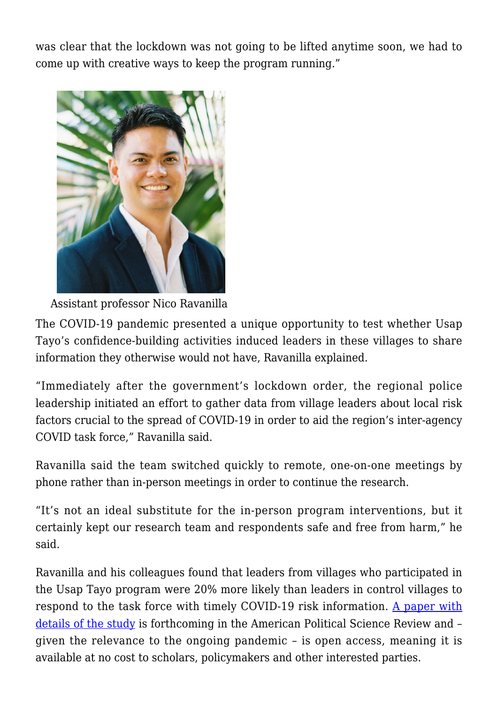was clear that the lockdown was not going to be lifted anytime soon, we had to come up with creative ways to keep the program running."



Assistant professor Nico Ravanilla

The COVID-19 pandemic presented a unique opportunity to test whether Usap Tayo's confidence-building activities induced leaders in these villages to share information they otherwise would not have, Ravanilla explained.

"Immediately after the government's lockdown order, the regional police leadership initiated an effort to gather data from village leaders about local risk factors crucial to the spread of COVID-19 in order to aid the region's inter-agency COVID task force," Ravanilla said.

Ravanilla said the team switched quickly to remote, one-on-one meetings by phone rather than in-person meetings in order to continue the research.

"It's not an ideal substitute for the in-person program interventions, but it certainly kept our research team and respondents safe and free from harm," he said.

Ravanilla and his colleagues found that leaders from villages who participated in the Usap Tayo program were 20% more likely than leaders in control villages to respond to the task force with timely COVID-19 risk information. [A paper with](https://doi.org/10.1017/S0003055420001148) [details of the study](https://doi.org/10.1017/S0003055420001148) is forthcoming in the American Political Science Review and – given the relevance to the ongoing pandemic – is open access, meaning it is available at no cost to scholars, policymakers and other interested parties.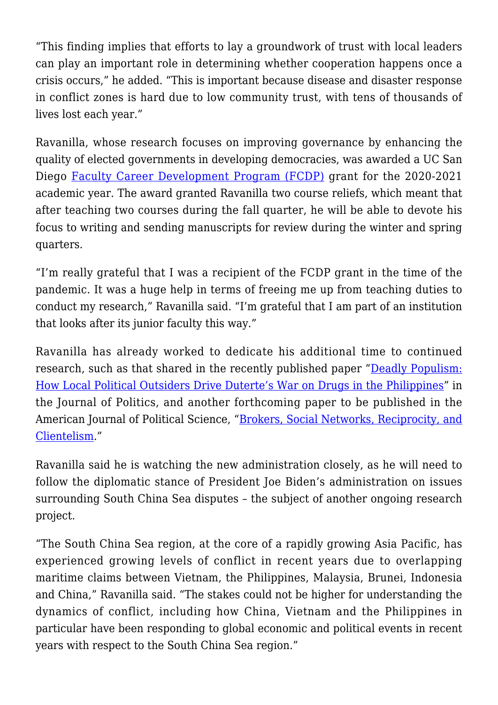"This finding implies that efforts to lay a groundwork of trust with local leaders can play an important role in determining whether cooperation happens once a crisis occurs," he added. "This is important because disease and disaster response in conflict zones is hard due to low community trust, with tens of thousands of lives lost each year."

Ravanilla, whose research focuses on improving governance by enhancing the quality of elected governments in developing democracies, was awarded a UC San Diego [Faculty Career Development Program \(FCDP\)](https://aps.ucsd.edu/faculty-resources/facdev/fcdp.html) grant for the 2020-2021 academic year. The award granted Ravanilla two course reliefs, which meant that after teaching two courses during the fall quarter, he will be able to devote his focus to writing and sending manuscripts for review during the winter and spring quarters.

"I'm really grateful that I was a recipient of the FCDP grant in the time of the pandemic. It was a huge help in terms of freeing me up from teaching duties to conduct my research," Ravanilla said. "I'm grateful that I am part of an institution that looks after its junior faculty this way."

Ravanilla has already worked to dedicate his additional time to continued research, such as that shared in the recently published paper ["Deadly Populism:](http://dotanhaim.com/wp-content/uploads/2020/05/Philippines_Drug_War.pdf) [How Local Political Outsiders Drive Duterte's War on Drugs in the Philippines"](http://dotanhaim.com/wp-content/uploads/2020/05/Philippines_Drug_War.pdf) in the Journal of Politics, and another forthcoming paper to be published in the American Journal of Political Science, ["Brokers, Social Networks, Reciprocity, and](http://dotanhaim.com/wp-content/uploads/2017/09/Ravanilla-et-al_APSA2017-paper.pdf) [Clientelism](http://dotanhaim.com/wp-content/uploads/2017/09/Ravanilla-et-al_APSA2017-paper.pdf)."

Ravanilla said he is watching the new administration closely, as he will need to follow the diplomatic stance of President Joe Biden's administration on issues surrounding South China Sea disputes – the subject of another ongoing research project.

"The South China Sea region, at the core of a rapidly growing Asia Pacific, has experienced growing levels of conflict in recent years due to overlapping maritime claims between Vietnam, the Philippines, Malaysia, Brunei, Indonesia and China," Ravanilla said. "The stakes could not be higher for understanding the dynamics of conflict, including how China, Vietnam and the Philippines in particular have been responding to global economic and political events in recent years with respect to the South China Sea region."